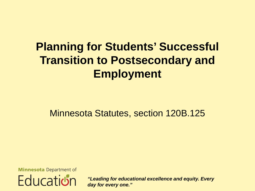Minnesota Statutes, section 120B.125

**Minnesota** Department of **Education** 

*"Leading for educational excellence and equity. Every day for every one."*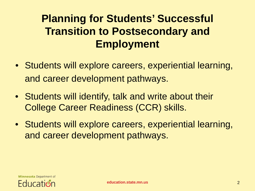- Students will explore careers, experiential learning, and career development pathways.
- Students will identify, talk and write about their College Career Readiness (CCR) skills.
- Students will explore careers, experiential learning, and career development pathways.

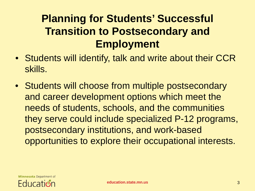- Students will identify, talk and write about their CCR skills.
- Students will choose from multiple postsecondary and career development options which meet the needs of students, schools, and the communities they serve could include specialized P-12 programs, postsecondary institutions, and work-based opportunities to explore their occupational interests.

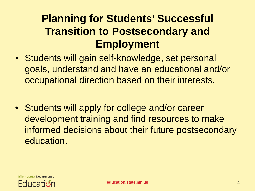- Students will gain self-knowledge, set personal goals, understand and have an educational and/or occupational direction based on their interests.
- Students will apply for college and/or career development training and find resources to make informed decisions about their future postsecondary education.

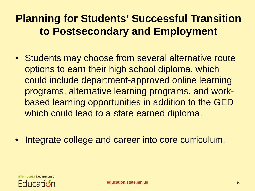- Students may choose from several alternative route options to earn their high school diploma, which could include department-approved online learning programs, alternative learning programs, and workbased learning opportunities in addition to the GED which could lead to a state earned diploma.
- Integrate college and career into core curriculum.